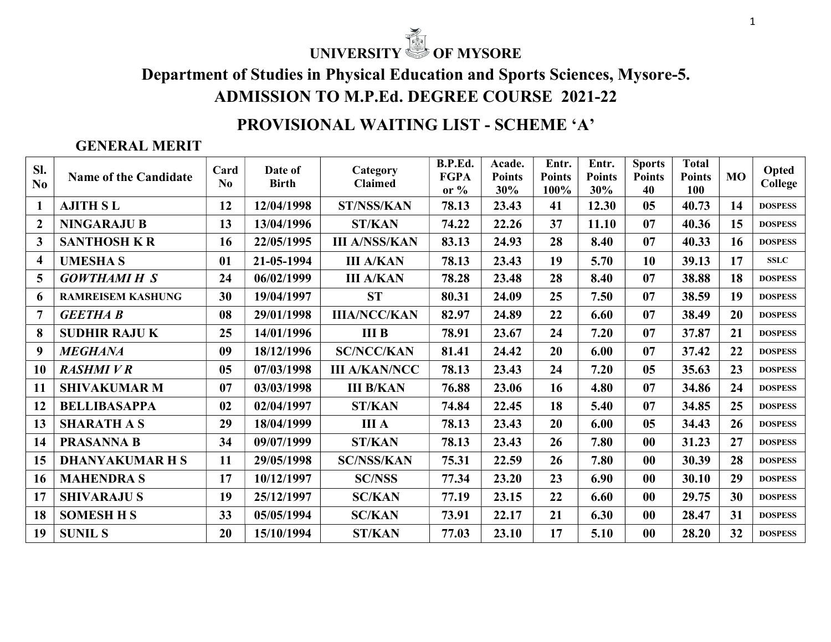# UNIVERSITY **OF MYSORE**

Department of Studies in Physical Education and Sports Sciences, Mysore-5. ADMISSION TO M.P.Ed. DEGREE COURSE 2021-22

## PROVISIONAL WAITING LIST - SCHEME 'A'

#### GENERAL MERIT

| Sl.<br>No      | <b>Name of the Candidate</b> | Card<br>No. | Date of<br><b>Birth</b> | Category<br><b>Claimed</b> | B.P.Ed.<br><b>FGPA</b><br>or $%$ | Acade.<br><b>Points</b><br>30% | Entr.<br><b>Points</b><br>100% | Entr.<br><b>Points</b><br>30% | <b>Sports</b><br><b>Points</b><br>40 | <b>Total</b><br><b>Points</b><br>100 | <b>MO</b> | Opted<br>College |
|----------------|------------------------------|-------------|-------------------------|----------------------------|----------------------------------|--------------------------------|--------------------------------|-------------------------------|--------------------------------------|--------------------------------------|-----------|------------------|
| 1              | <b>AJITH SL</b>              | 12          | 12/04/1998              | <b>ST/NSS/KAN</b>          | 78.13                            | 23.43                          | 41                             | 12.30                         | 05                                   | 40.73                                | 14        | <b>DOSPESS</b>   |
| $\overline{2}$ | <b>NINGARAJU B</b>           | 13          | 13/04/1996              | <b>ST/KAN</b>              | 74.22                            | 22.26                          | 37                             | 11.10                         | 07                                   | 40.36                                | 15        | <b>DOSPESS</b>   |
| $\mathbf{3}$   | <b>SANTHOSH K R</b>          | 16          | 22/05/1995              | <b>III A/NSS/KAN</b>       | 83.13                            | 24.93                          | 28                             | 8.40                          | 07                                   | 40.33                                | 16        | <b>DOSPESS</b>   |
| 4              | <b>UMESHAS</b>               | 01          | 21-05-1994              | <b>III A/KAN</b>           | 78.13                            | 23.43                          | 19                             | 5.70                          | 10                                   | 39.13                                | 17        | <b>SSLC</b>      |
| $\overline{5}$ | <b>GOWTHAMI H S</b>          | 24          | 06/02/1999              | <b>III A/KAN</b>           | 78.28                            | 23.48                          | 28                             | 8.40                          | 07                                   | 38.88                                | 18        | <b>DOSPESS</b>   |
| 6              | <b>RAMREISEM KASHUNG</b>     | 30          | 19/04/1997              | <b>ST</b>                  | 80.31                            | 24.09                          | 25                             | 7.50                          | 07                                   | 38.59                                | 19        | <b>DOSPESS</b>   |
| $\overline{7}$ | <b>GEETHA B</b>              | 08          | 29/01/1998              | <b>IIIA/NCC/KAN</b>        | 82.97                            | 24.89                          | 22                             | 6.60                          | 07                                   | 38.49                                | 20        | <b>DOSPESS</b>   |
| 8              | <b>SUDHIR RAJUK</b>          | 25          | 14/01/1996              | <b>III B</b>               | 78.91                            | 23.67                          | 24                             | 7.20                          | 07                                   | 37.87                                | 21        | <b>DOSPESS</b>   |
| 9              | <b>MEGHANA</b>               | 09          | 18/12/1996              | <b>SC/NCC/KAN</b>          | 81.41                            | 24.42                          | 20                             | 6.00                          | 07                                   | 37.42                                | 22        | <b>DOSPESS</b>   |
| 10             | <b>RASHMIVR</b>              | 05          | 07/03/1998              | <b>III A/KAN/NCC</b>       | 78.13                            | 23.43                          | 24                             | 7.20                          | 05                                   | 35.63                                | 23        | <b>DOSPESS</b>   |
| 11             | <b>SHIVAKUMAR M</b>          | 07          | 03/03/1998              | <b>III B/KAN</b>           | 76.88                            | 23.06                          | 16                             | 4.80                          | 07                                   | 34.86                                | 24        | <b>DOSPESS</b>   |
| 12             | <b>BELLIBASAPPA</b>          | 02          | 02/04/1997              | <b>ST/KAN</b>              | 74.84                            | 22.45                          | 18                             | 5.40                          | 07                                   | 34.85                                | 25        | <b>DOSPESS</b>   |
| 13             | <b>SHARATH A S</b>           | 29          | 18/04/1999              | <b>III</b> A               | 78.13                            | 23.43                          | 20                             | 6.00                          | 05                                   | 34.43                                | 26        | <b>DOSPESS</b>   |
| 14             | <b>PRASANNA B</b>            | 34          | 09/07/1999              | <b>ST/KAN</b>              | 78.13                            | 23.43                          | 26                             | 7.80                          | 00                                   | 31.23                                | 27        | <b>DOSPESS</b>   |
| 15             | <b>DHANYAKUMAR H S</b>       | 11          | 29/05/1998              | <b>SC/NSS/KAN</b>          | 75.31                            | 22.59                          | 26                             | 7.80                          | 00                                   | 30.39                                | 28        | <b>DOSPESS</b>   |
| 16             | <b>MAHENDRA S</b>            | 17          | 10/12/1997              | <b>SC/NSS</b>              | 77.34                            | 23.20                          | 23                             | 6.90                          | 00                                   | 30.10                                | 29        | <b>DOSPESS</b>   |
| 17             | <b>SHIVARAJU S</b>           | 19          | 25/12/1997              | <b>SC/KAN</b>              | 77.19                            | 23.15                          | 22                             | 6.60                          | 00                                   | 29.75                                | 30        | <b>DOSPESS</b>   |
| 18             | <b>SOMESH H S</b>            | 33          | 05/05/1994              | <b>SC/KAN</b>              | 73.91                            | 22.17                          | 21                             | 6.30                          | 00                                   | 28.47                                | 31        | <b>DOSPESS</b>   |
| 19             | <b>SUNIL S</b>               | 20          | 15/10/1994              | <b>ST/KAN</b>              | 77.03                            | 23.10                          | 17                             | 5.10                          | 00                                   | 28.20                                | 32        | <b>DOSPESS</b>   |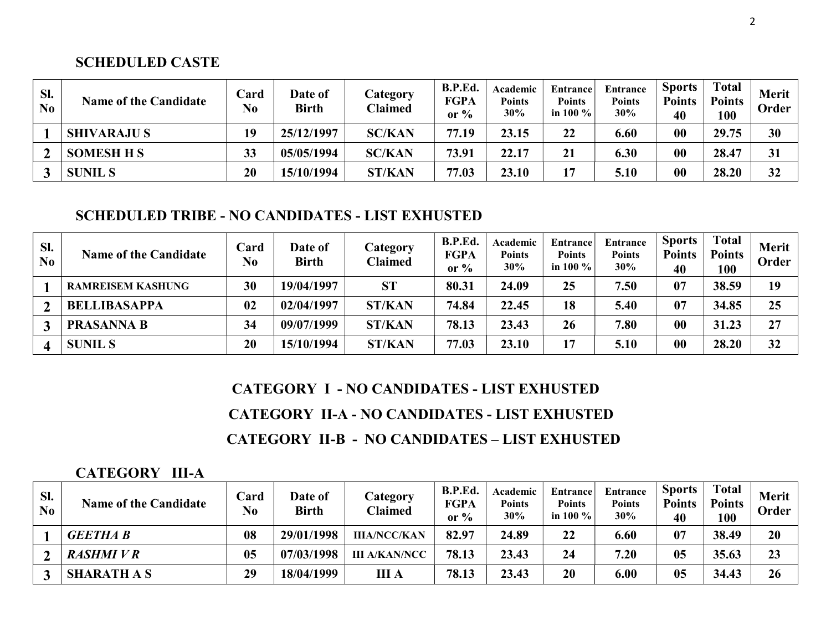#### SCHEDULED CASTE

| SI.<br>No | <b>Name of the Candidate</b> | $\bf Card$<br>No | <b>Date of</b><br><b>Birth</b> | Category<br><b>Claimed</b> | B.P.Ed.<br><b>FGPA</b><br>or $%$ | Academic<br><b>Points</b><br>30% | <b>Entrance</b><br>Points<br>in 100 $\%$ | <b>Entrance</b><br><b>Points</b><br>30% | <b>Sports</b><br><b>Points</b><br>40 | <b>Total</b><br><b>Points</b><br>100 | <b>Merit</b><br>Order |
|-----------|------------------------------|------------------|--------------------------------|----------------------------|----------------------------------|----------------------------------|------------------------------------------|-----------------------------------------|--------------------------------------|--------------------------------------|-----------------------|
|           | <b>SHIVARAJUS</b>            | 19               | 25/12/1997                     | <b>SC/KAN</b>              | 77.19                            | 23.15                            | 22                                       | 6.60                                    | 00                                   | 29.75                                | 30                    |
|           | <b>SOMESH H S</b>            | 33               | 05/05/1994                     | <b>SC/KAN</b>              | 73.91                            | 22.17                            | 21                                       | 6.30                                    | 00                                   | 28.47                                | 31                    |
|           | <b>SUNIL S</b>               | 20               | 15/10/1994                     | <b>ST/KAN</b>              | 77.03                            | 23.10                            | 17                                       | 5.10                                    | 00                                   | 28.20                                | 32                    |

#### SCHEDULED TRIBE - NO CANDIDATES - LIST EXHUSTED

| Sl.<br>N <sub>0</sub> | <b>Name of the Candidate</b> | Card<br>No | <b>Date of</b><br><b>Birth</b> | Category<br><b>Claimed</b> | B.P.Ed.<br><b>FGPA</b><br>or $\%$ | Academic<br><b>Points</b><br>30% | Entrance<br><b>Points</b><br>in 100 $\%$ | Entrance<br><b>Points</b><br>30% | <b>Sports</b><br><b>Points</b><br>40 | <b>Total</b><br><b>Points</b><br>100 | <b>Merit</b><br>Order |
|-----------------------|------------------------------|------------|--------------------------------|----------------------------|-----------------------------------|----------------------------------|------------------------------------------|----------------------------------|--------------------------------------|--------------------------------------|-----------------------|
|                       | <b>RAMREISEM KASHUNG</b>     | 30         | 19/04/1997                     | <b>ST</b>                  | 80.31                             | 24.09                            | 25                                       | 7.50                             | 07                                   | 38.59                                | 19                    |
|                       | <b>BELLIBASAPPA</b>          | 02         | 02/04/1997                     | <b>ST/KAN</b>              | 74.84                             | 22.45                            | 18                                       | 5.40                             | 07                                   | 34.85                                | 25                    |
|                       | <b>PRASANNA B</b>            | 34         | 09/07/1999                     | <b>ST/KAN</b>              | 78.13                             | 23.43                            | 26                                       | 7.80                             | 00                                   | 31.23                                | 27                    |
|                       | <b>SUNIL S</b>               | 20         | 15/10/1994                     | <b>ST/KAN</b>              | 77.03                             | 23.10                            | 17                                       | 5.10                             | 00                                   | 28.20                                | 32                    |

# CATEGORY I - NO CANDIDATES - LIST EXHUSTED CATEGORY II-A - NO CANDIDATES - LIST EXHUSTED CATEGORY II-B - NO CANDIDATES – LIST EXHUSTED

#### CATEGORY III-A

| SI.<br>No | <b>Name of the Candidate</b> | Card<br>N <sub>0</sub> | <b>Date of</b><br><b>Birth</b> | Category<br><b>Claimed</b> | B.P.Ed.<br><b>FGPA</b><br>or $\%$ | Academic<br><b>Points</b><br>30% | <b>Entrance</b><br><b>Points</b><br>in 100 $\%$ | Entrance<br><b>Points</b><br>30% | <b>Sports</b><br><b>Points</b><br>40 | <b>Total</b><br><b>Points</b><br>100 | Merit<br>Order |
|-----------|------------------------------|------------------------|--------------------------------|----------------------------|-----------------------------------|----------------------------------|-------------------------------------------------|----------------------------------|--------------------------------------|--------------------------------------|----------------|
|           | <b>GEETHA B</b>              | 08                     | 29/01/1998                     | <b>IIIA/NCC/KAN</b>        | 82.97                             | 24.89                            | 22                                              | 6.60                             | 07                                   | 38.49                                | 20             |
|           | <b>RASHMIVR</b>              | 0 <sub>5</sub>         | 07/03/1998                     | <b>III A/KAN/NCC</b>       | 78.13                             | 23.43                            | 24                                              | 7.20                             | 0 <sub>5</sub>                       | 35.63                                | 23             |
|           | <b>SHARATH A S</b>           | 29                     | 18/04/1999                     | <b>III</b> A               | 78.13                             | 23.43                            | 20                                              | 6.00                             | 05                                   | 34.43                                | 26             |